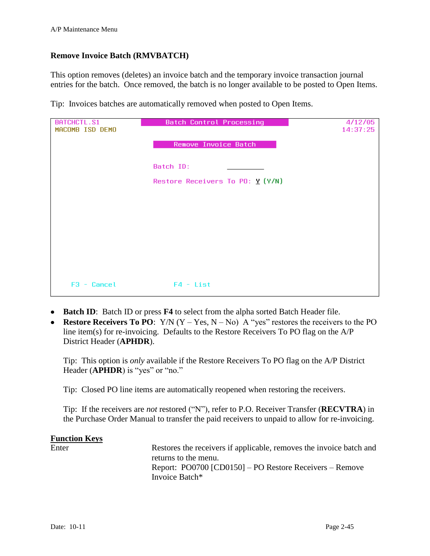## **Remove Invoice Batch (RMVBATCH)**

This option removes (deletes) an invoice batch and the temporary invoice transaction journal entries for the batch. Once removed, the batch is no longer available to be posted to Open Items.

Tip: Invoices batches are automatically removed when posted to Open Items.

| <b>BATCHCTL.S1</b> | <b>Batch Control Processing</b>   | 4/12/05  |
|--------------------|-----------------------------------|----------|
| MACOMB ISD DEMO    |                                   | 14:37:25 |
|                    | Remove Invoice Batch              |          |
|                    | Batch ID:                         |          |
|                    | Restore Receivers To PO: $Y(Y/N)$ |          |
|                    |                                   |          |
|                    |                                   |          |
|                    |                                   |          |
|                    |                                   |          |
|                    |                                   |          |
| $F3 - Cancel$      | $F4 - List$                       |          |

- **Batch ID**: Batch ID or press **F4** to select from the alpha sorted Batch Header file.
- **Restore Receivers To PO:** Y/N  $(Y Yes, N No)$  A "yes" restores the receivers to the PO line item(s) for re-invoicing. Defaults to the Restore Receivers To PO flag on the A/P District Header (**APHDR**).

Tip: This option is *only* available if the Restore Receivers To PO flag on the A/P District Header (APHDR) is "yes" or "no."

Tip: Closed PO line items are automatically reopened when restoring the receivers.

Tip: If the receivers are *not* restored ("N"), refer to P.O. Receiver Transfer (**RECVTRA**) in the Purchase Order Manual to transfer the paid receivers to unpaid to allow for re-invoicing.

## **Function Keys** Enter Restores the receivers if applicable, removes the invoice batch and returns to the menu. Report: PO0700 [CD0150] – PO Restore Receivers – Remove Invoice Batch\*